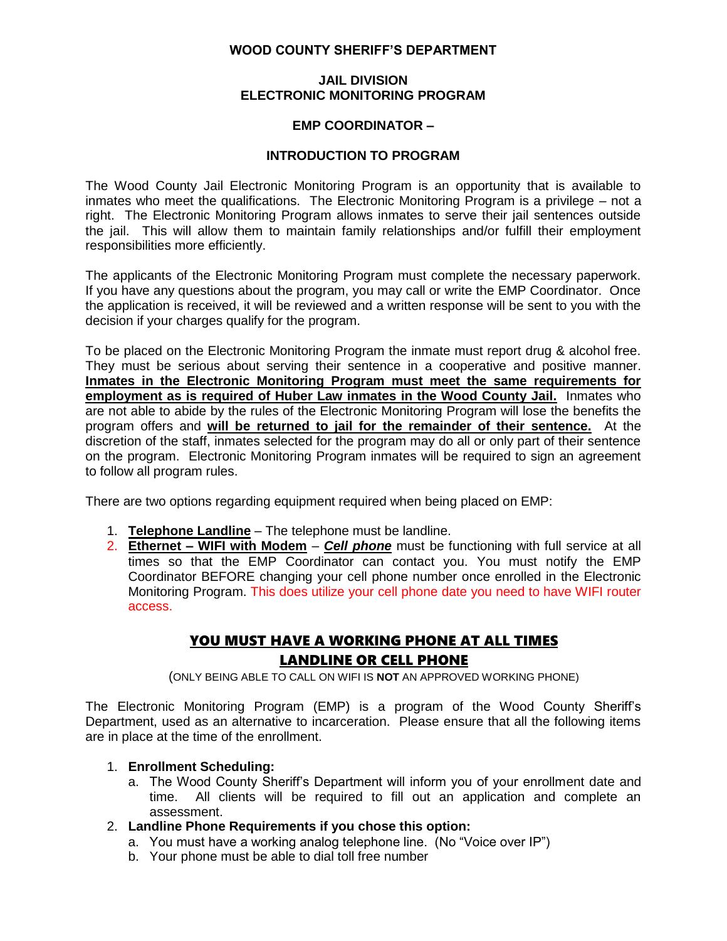### **WOOD COUNTY SHERIFF'S DEPARTMENT**

### **JAIL DIVISION ELECTRONIC MONITORING PROGRAM**

### **EMP COORDINATOR –**

### **INTRODUCTION TO PROGRAM**

The Wood County Jail Electronic Monitoring Program is an opportunity that is available to inmates who meet the qualifications. The Electronic Monitoring Program is a privilege – not a right. The Electronic Monitoring Program allows inmates to serve their jail sentences outside the jail. This will allow them to maintain family relationships and/or fulfill their employment responsibilities more efficiently.

The applicants of the Electronic Monitoring Program must complete the necessary paperwork. If you have any questions about the program, you may call or write the EMP Coordinator. Once the application is received, it will be reviewed and a written response will be sent to you with the decision if your charges qualify for the program.

To be placed on the Electronic Monitoring Program the inmate must report drug & alcohol free. They must be serious about serving their sentence in a cooperative and positive manner. **Inmates in the Electronic Monitoring Program must meet the same requirements for employment as is required of Huber Law inmates in the Wood County Jail.** Inmates who are not able to abide by the rules of the Electronic Monitoring Program will lose the benefits the program offers and **will be returned to jail for the remainder of their sentence.** At the discretion of the staff, inmates selected for the program may do all or only part of their sentence on the program. Electronic Monitoring Program inmates will be required to sign an agreement to follow all program rules.

There are two options regarding equipment required when being placed on EMP:

- 1. **Telephone Landline** The telephone must be landline.
- 2. **Ethernet – WIFI with Modem** *Cell phone* must be functioning with full service at all times so that the EMP Coordinator can contact you. You must notify the EMP Coordinator BEFORE changing your cell phone number once enrolled in the Electronic Monitoring Program. This does utilize your cell phone date you need to have WIFI router access.

# YOU MUST HAVE A WORKING PHONE AT ALL TIMES LANDLINE OR CELL PHONE

(ONLY BEING ABLE TO CALL ON WIFI IS **NOT** AN APPROVED WORKING PHONE)

The Electronic Monitoring Program (EMP) is a program of the Wood County Sheriff's Department, used as an alternative to incarceration. Please ensure that all the following items are in place at the time of the enrollment.

### 1. **Enrollment Scheduling:**

- a. The Wood County Sheriff's Department will inform you of your enrollment date and time. All clients will be required to fill out an application and complete an assessment.
- 2. **Landline Phone Requirements if you chose this option:**
	- a. You must have a working analog telephone line. (No "Voice over IP")
	- b. Your phone must be able to dial toll free number